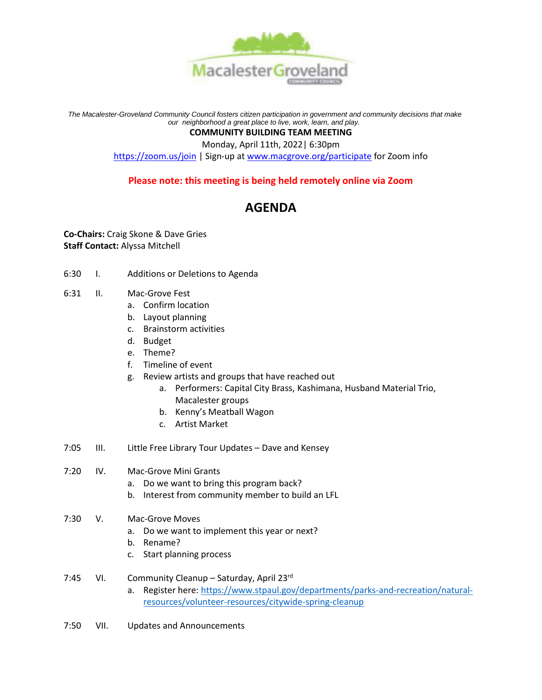

*The Macalester-Groveland Community Council fosters citizen participation in government and community decisions that make our neighborhood a great place to live, work, learn, and play.*

## **COMMUNITY BUILDING TEAM MEETING**

Monday, April 11th, 2022| 6:30pm

<https://zoom.us/join> | Sign-up at [www.macgrove.org/participate](http://www.macgrove.org/participate) for Zoom info

## **Please note: this meeting is being held remotely online via Zoom**

## **AGENDA**

**Co-Chairs:** Craig Skone & Dave Gries **Staff Contact:** Alyssa Mitchell

- 6:30 I. Additions or Deletions to Agenda
- 6:31 II. Mac-Grove Fest
	- a. Confirm location
	- b. Layout planning
	- c. Brainstorm activities
	- d. Budget
	- e. Theme?
	- f. Timeline of event
	- g. Review artists and groups that have reached out
		- a. Performers: Capital City Brass, Kashimana, Husband Material Trio, Macalester groups
			- b. Kenny's Meatball Wagon
			- c. Artist Market
- 7:05 III. Little Free Library Tour Updates Dave and Kensey
- 7:20 IV. Mac-Grove Mini Grants
	- a. Do we want to bring this program back?
	- b. Interest from community member to build an LFL
- 7:30 V. Mac-Grove Moves
	- a. Do we want to implement this year or next?
	- b. Rename?
	- c. Start planning process
- 7:45 VI. Community Cleanup Saturday, April 23rd
	- a. Register here: [https://www.stpaul.gov/departments/parks-and-recreation/natural](https://www.stpaul.gov/departments/parks-and-recreation/natural-resources/volunteer-resources/citywide-spring-cleanup)[resources/volunteer-resources/citywide-spring-cleanup](https://www.stpaul.gov/departments/parks-and-recreation/natural-resources/volunteer-resources/citywide-spring-cleanup)
- 7:50 VII. Updates and Announcements